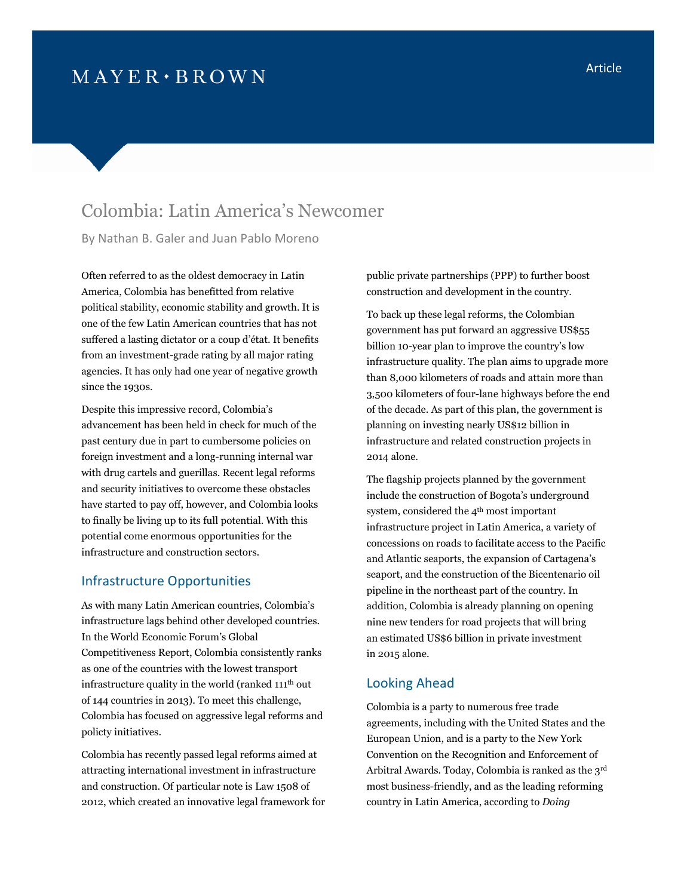## $M$  AYER  $\cdot$  BROWN

## Colombia: Latin America's Newcomer

By Nathan B. Galer and Juan Pablo Moreno

Often referred to as the oldest democracy in Latin America, Colombia has benefitted from relative political stability, economic stability and growth. It is one of the few Latin American countries that has not suffered a lasting dictator or a coup d'état. It benefits from an investment-grade rating by all major rating agencies. It has only had one year of negative growth since the 1930s.

Despite this impressive record, Colombia's advancement has been held in check for much of the past century due in part to cumbersome policies on foreign investment and a long-running internal war with drug cartels and guerillas. Recent legal reforms and security initiatives to overcome these obstacles have started to pay off, however, and Colombia looks to finally be living up to its full potential. With this potential come enormous opportunities for the infrastructure and construction sectors.

## Infrastructure Opportunities

As with many Latin American countries, Colombia's infrastructure lags behind other developed countries. In the World Economic Forum's Global Competitiveness Report, Colombia consistently ranks as one of the countries with the lowest transport infrastructure quality in the world (ranked 111th out of 144 countries in 2013). To meet this challenge, Colombia has focused on aggressive legal reforms and policty initiatives.

Colombia has recently passed legal reforms aimed at attracting international investment in infrastructure and construction. Of particular note is Law 1508 of 2012, which created an innovative legal framework for public private partnerships (PPP) to further boost construction and development in the country.

To back up these legal reforms, the Colombian government has put forward an aggressive US\$55 billion 10-year plan to improve the country's low infrastructure quality. The plan aims to upgrade more than 8,000 kilometers of roads and attain more than 3,500 kilometers of four-lane highways before the end of the decade. As part of this plan, the government is planning on investing nearly US\$12 billion in infrastructure and related construction projects in 2014 alone.

The flagship projects planned by the government include the construction of Bogota's underground system, considered the 4<sup>th</sup> most important infrastructure project in Latin America, a variety of concessions on roads to facilitate access to the Pacific and Atlantic seaports, the expansion of Cartagena's seaport, and the construction of the Bicentenario oil pipeline in the northeast part of the country. In addition, Colombia is already planning on opening nine new tenders for road projects that will bring an estimated US\$6 billion in private investment in 2015 alone.

## Looking Ahead

Colombia is a party to numerous free trade agreements, including with the United States and the European Union, and is a party to the New York Convention on the Recognition and Enforcement of Arbitral Awards. Today, Colombia is ranked as the 3rd most business-friendly, and as the leading reforming country in Latin America, according to *Doing*